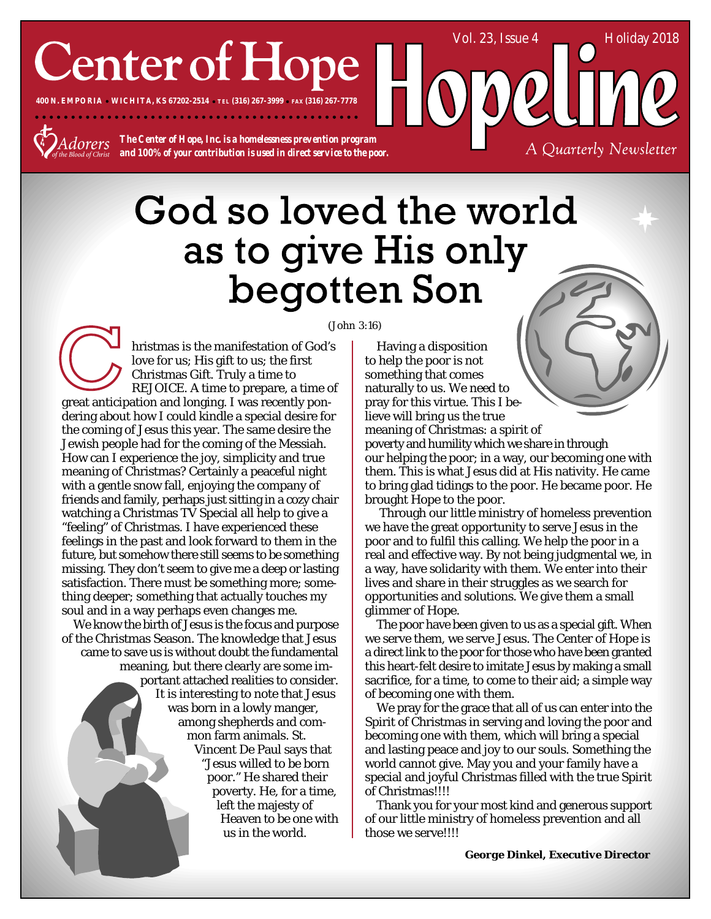## **Center of Hope**

**400 N. EMPORIA WICHITA, KS 67202-2514 TEL (316) 267-3999 FAX (316) 267-7778**

dorers

*The Center of Hope, Inc. is a homelessness prevention program and 100% of your contribution is used in direct service to the poor.*

### God so loved the world as to give His only begotten Son

hristmas is the manifestation of God's love for us; His gift to us; the first Christmas Gift. Truly a time to REJOICE. A time to prepare, a time of great anticipation and longing. I was recently pondering about how I could kindle a special desire for the coming of Jesus this year. The same desire the Jewish people had for the coming of the Messiah. How can I experience the joy, simplicity and true meaning of Christmas? Certainly a peaceful night with a gentle snow fall, enjoying the company of friends and family, perhaps just sitting in a cozy chair watching a Christmas TV Special all help to give a "feeling" of Christmas. I have experienced these feelings in the past and look forward to them in the future, but somehow there still seems to be something missing. They don't seem to give me a deep or lasting satisfaction. There must be something more; something deeper; something that actually touches my soul and in a way perhaps even changes me.

We know the birth of Jesus is the focus and purpose of the Christmas Season. The knowledge that Jesus came to save us is without doubt the fundamental meaning, but there clearly are some important attached realities to consider. It is interesting to note that Jesus was born in a lowly manger, among shepherds and common farm animals. St. Vincent De Paul says that "Jesus willed to be born poor." He shared their poverty. He, for a time, left the majesty of Heaven to be one with us in the world.

(John 3:16)

Having a disposition to help the poor is not something that comes naturally to us. We need to pray for this virtue. This I believe will bring us the true meaning of Christmas: a spirit of poverty and humility which we share in through our helping the poor; in a way, our becoming one with them. This is what Jesus did at His nativity. He came to bring glad tidings to the poor. He became poor. He brought Hope to the poor.

Vol. 23, Issue 4 Holiday 2018

A Quarterly Newsletter

 Through our little ministry of homeless prevention we have the great opportunity to serve Jesus in the poor and to fulfil this calling. We help the poor in a real and effective way. By not being judgmental we, in a way, have solidarity with them. We enter into their lives and share in their struggles as we search for opportunities and solutions. We give them a small glimmer of Hope.

The poor have been given to us as a special gift. When we serve them, we serve Jesus. The Center of Hope is a direct link to the poor for those who have been granted this heart-felt desire to imitate Jesus by making a small sacrifice, for a time, to come to their aid; a simple way of becoming one with them.

We pray for the grace that all of us can enter into the Spirit of Christmas in serving and loving the poor and becoming one with them, which will bring a special and lasting peace and joy to our souls. Something the world cannot give. May you and your family have a special and joyful Christmas filled with the true Spirit of Christmas!!!!

Thank you for your most kind and generous support of our little ministry of homeless prevention and all those we serve!!!!

*George Dinkel, Executive Director*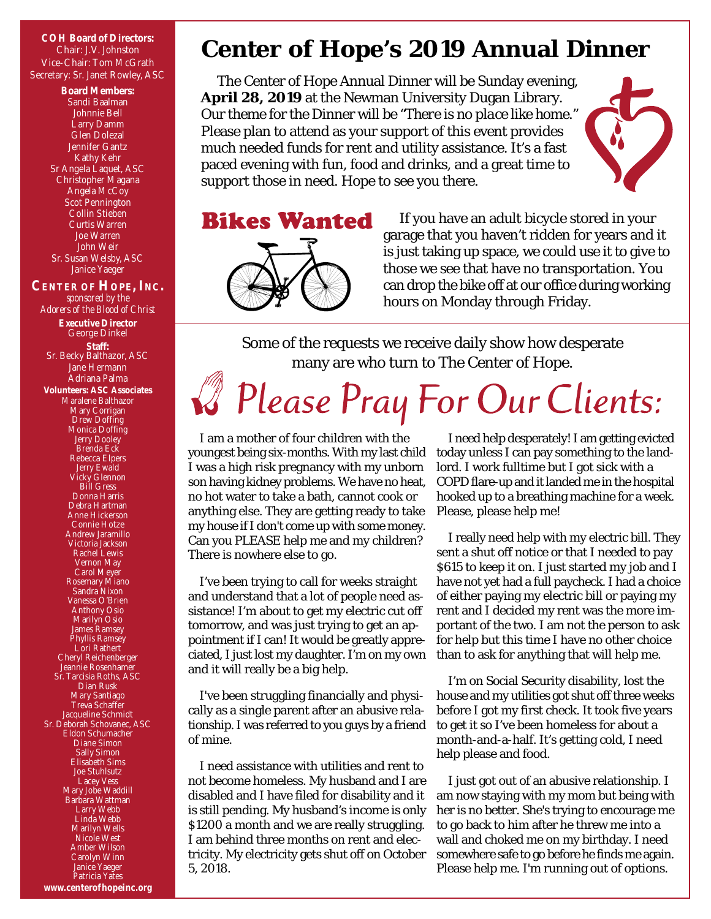Chair: J.V. Johnston Vice-Chair: Tom McGrath Secretary: Sr. Janet Rowley, ASC

**Board Members:** Sandi Baalman Johnnie Bell Larry Damm Glen Dolezal Jennifer Gantz Kathy Kehr Sr Angela Laquet, ASC Christopher Magana Angela McCoy Scot Pennington Collin Stieben Curtis Warren Joe Warren John Weir Sr. Susan Welsby, ASC Janice Yaeger **CENTER OF HOPE, INC.** *sponsored by the Adorers of the Blood of Christ* **Executive Director** George Dinkel **Staff:** Sr. Becky Balthazor, ASC Jane Hermann Adriana Palma **Volunteers: ASC Associates** Maralene Balthazor Mary Corrigan Drew Doffing Monica Doffing Jerry Dooley Brenda Eck Rebecca Elpers Jerry Ewald Vicky Glennon Bill Gress Donna Harris Debra Hartman Anne Hickerson Connie Hotze Andrew Jaramillo Victoria Jackson Rachel Lewis Vernon May Carol Meyer Rosemary Miano Sandra Nixon Vanessa O'Brien Anthony Osio Marilyn Osio James Ramsey Phyllis Ramsey Lori Rathert Cheryl Reichenberger Jeannie Rosenhamer Sr. Tarcisia Roths, ASC Dian Rusk Mary Santiago Treva Schaffer Jacqueline Schmidt Sr. Deborah Schovanec, ASC Eldon Schumacher Diane Simon

Sally Simon Elisabeth Sims Joe Stuhlsutz Lacey Vess Mary Jobe Waddill Barbara Wattman Larry Webb Linda Webb Marilyn Wells Nicole West Amber Wilson Carolyn Winn Janice Yaeger

#### COH Board of Directors:<br>
Center of Hope's 2019 Annual Dinner

The Center of Hope Annual Dinner will be Sunday evening, **April 28, 2019** at the Newman University Dugan Library. Our theme for the Dinner will be *"There is no place like home."* Please plan to attend as your support of this event provides much needed funds for rent and utility assistance. It's a fast paced evening with fun, food and drinks, and a great time to support those in need. Hope to see you there.



# **Bikes Wanted**

If you have an adult bicycle stored in your garage that you haven't ridden for years and it is just taking up space, we could use it to give to those we see that have no transportation. You can drop the bike off at our office during working hours on Monday through Friday.

Some of the requests we receive daily show how desperate many are who turn to The Center of Hope.

## Please Pray For Our Clients:

I am a mother of four children with the youngest being six-months. With my last child I was a high risk pregnancy with my unborn son having kidney problems. We have no heat, no hot water to take a bath, cannot cook or anything else. They are getting ready to take my house if I don't come up with some money. Can you PLEASE help me and my children? There is nowhere else to go.

I've been trying to call for weeks straight and understand that a lot of people need assistance! I'm about to get my electric cut off tomorrow, and was just trying to get an appointment if I can! It would be greatly appreciated, I just lost my daughter. I'm on my own and it will really be a big help.

I've been struggling financially and physically as a single parent after an abusive relationship. I was referred to you guys by a friend of mine.

I need assistance with utilities and rent to not become homeless. My husband and I are disabled and I have filed for disability and it is still pending. My husband's income is only \$1200 a month and we are really struggling. I am behind three months on rent and electricity. My electricity gets shut off on October 5, 2018.

I need help desperately! I am getting evicted today unless I can pay something to the landlord. I work fulltime but I got sick with a COPD flare-up and it landed me in the hospital hooked up to a breathing machine for a week. Please, please help me!

I really need help with my electric bill. They sent a shut off notice or that I needed to pay \$615 to keep it on. I just started my job and I have not yet had a full paycheck. I had a choice of either paying my electric bill or paying my rent and I decided my rent was the more important of the two. I am not the person to ask for help but this time I have no other choice than to ask for anything that will help me.

I'm on Social Security disability, lost the house and my utilities got shut off three weeks before I got my first check. It took five years to get it so I've been homeless for about a month-and-a-half. It's getting cold, I need help please and food.

I just got out of an abusive relationship. I am now staying with my mom but being with her is no better. She's trying to encourage me to go back to him after he threw me into a wall and choked me on my birthday. I need somewhere safe to go before he finds me again. Please help me. I'm running out of options.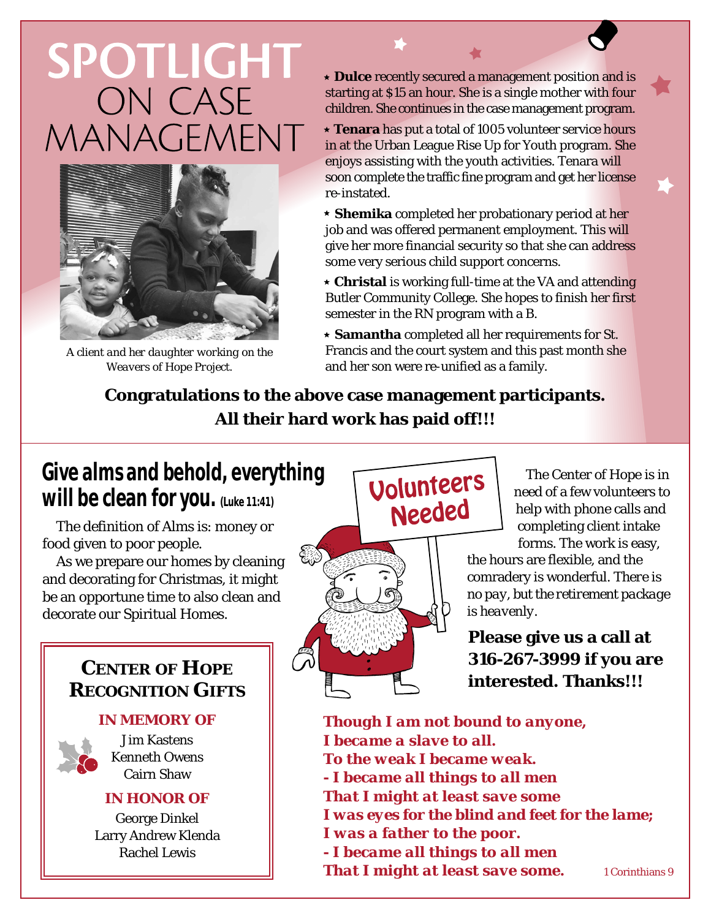## **SPOTLIGHT** ON CASE MANAGEMENT



*A client and her daughter working on the Weavers of Hope Project.*

 **Dulce** recently secured a management position and is starting at \$15 an hour. She is a single mother with four children. She continues in the case management program.

 **Tenara** has put a total of 1005 volunteer service hours in at the Urban League Rise Up for Youth program. She enjoys assisting with the youth activities. Tenara will soon complete the traffic fine program and get her license re-instated.

 **Shemika** completed her probationary period at her job and was offered permanent employment. This will give her more financial security so that she can address some very serious child support concerns.

 **Christal** is working full-time at the VA and attending Butler Community College. She hopes to finish her first semester in the RN program with a B.

 **Samantha** completed all her requirements for St. Francis and the court system and this past month she and her son were re-unified as a family.

**Congratulations to the above case management participants. All their hard work has paid off!!!**

#### **Give alms and behold, everything will be clean for you. (Luke 11:41)**

The definition of *Alms* is: money or food given to poor people.

As we prepare our homes by cleaning and decorating for Christmas, it might be an opportune time to also clean and decorate our Spiritual Homes.

#### **CENTER OF HOPE RECOGNITION GIFTS**

#### **IN MEMORY OF**



Jim Kastens Kenneth Owens Cairn Shaw

#### **IN HONOR OF**

George Dinkel Larry Andrew Klenda Rachel Lewis



The Center of Hope is in need of a few volunteers to help with phone calls and completing client intake

the hours are flexible, and the comradery is wonderful. *There is no pay, but the retirement package is heavenly.*

**Please give us a call at 316-267-3999 if you are interested. Thanks!!!**

*Though I am not bound to anyone, I became a slave to all. To the weak I became weak. - I became all things to all men That I might at least save some I was eyes for the blind and feet for the lame; I was a father to the poor. - I became all things to all men That I might at least save some.* 1 Corinthians 9

forms. The work is easy,

Needed

Volunteers